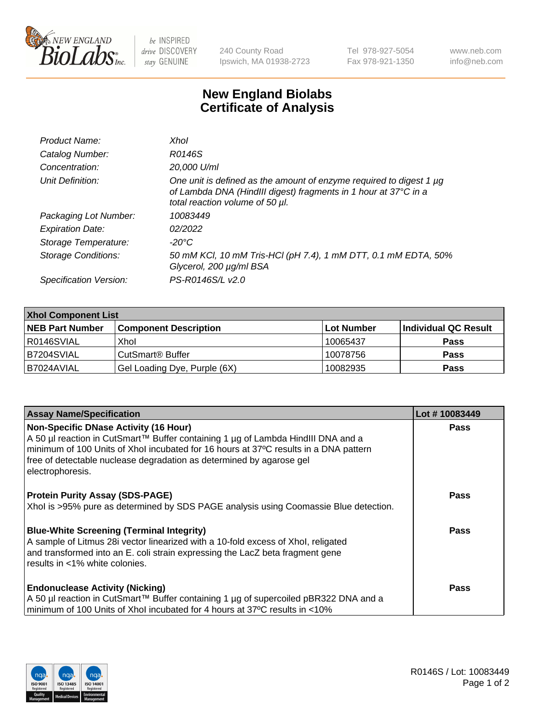

 $be$  INSPIRED drive DISCOVERY stay GENUINE

240 County Road Ipswich, MA 01938-2723 Tel 978-927-5054 Fax 978-921-1350 www.neb.com info@neb.com

## **New England Biolabs Certificate of Analysis**

| Product Name:              | Xhol                                                                                                                                                                      |
|----------------------------|---------------------------------------------------------------------------------------------------------------------------------------------------------------------------|
| Catalog Number:            | R0146S                                                                                                                                                                    |
| Concentration:             | 20,000 U/ml                                                                                                                                                               |
| Unit Definition:           | One unit is defined as the amount of enzyme required to digest 1 µg<br>of Lambda DNA (HindIII digest) fragments in 1 hour at 37°C in a<br>total reaction volume of 50 µl. |
| Packaging Lot Number:      | 10083449                                                                                                                                                                  |
| <b>Expiration Date:</b>    | 02/2022                                                                                                                                                                   |
| Storage Temperature:       | -20°C                                                                                                                                                                     |
| <b>Storage Conditions:</b> | 50 mM KCl, 10 mM Tris-HCl (pH 7.4), 1 mM DTT, 0.1 mM EDTA, 50%<br>Glycerol, 200 µg/ml BSA                                                                                 |
| Specification Version:     | PS-R0146S/L v2.0                                                                                                                                                          |

| <b>Xhol Component List</b> |                              |             |                      |  |  |
|----------------------------|------------------------------|-------------|----------------------|--|--|
| <b>NEB Part Number</b>     | <b>Component Description</b> | ∣Lot Number | Individual QC Result |  |  |
| R0146SVIAL                 | Xhol                         | 10065437    | <b>Pass</b>          |  |  |
| B7204SVIAL                 | CutSmart® Buffer             | 10078756    | <b>Pass</b>          |  |  |
| B7024AVIAL                 | Gel Loading Dye, Purple (6X) | 10082935    | <b>Pass</b>          |  |  |

| <b>Assay Name/Specification</b>                                                                                                                                                                                                                                                                                      | Lot #10083449 |
|----------------------------------------------------------------------------------------------------------------------------------------------------------------------------------------------------------------------------------------------------------------------------------------------------------------------|---------------|
| <b>Non-Specific DNase Activity (16 Hour)</b><br>A 50 µl reaction in CutSmart™ Buffer containing 1 µg of Lambda HindIII DNA and a<br>minimum of 100 Units of Xhol incubated for 16 hours at 37°C results in a DNA pattern<br>free of detectable nuclease degradation as determined by agarose gel<br>electrophoresis. | <b>Pass</b>   |
| <b>Protein Purity Assay (SDS-PAGE)</b><br>Xhol is >95% pure as determined by SDS PAGE analysis using Coomassie Blue detection.                                                                                                                                                                                       | <b>Pass</b>   |
| <b>Blue-White Screening (Terminal Integrity)</b><br>A sample of Litmus 28i vector linearized with a 10-fold excess of Xhol, religated<br>and transformed into an E. coli strain expressing the LacZ beta fragment gene<br>results in <1% white colonies.                                                             | Pass          |
| <b>Endonuclease Activity (Nicking)</b><br>A 50 µl reaction in CutSmart™ Buffer containing 1 µg of supercoiled pBR322 DNA and a<br>minimum of 100 Units of Xhol incubated for 4 hours at 37°C results in <10%                                                                                                         | Pass          |